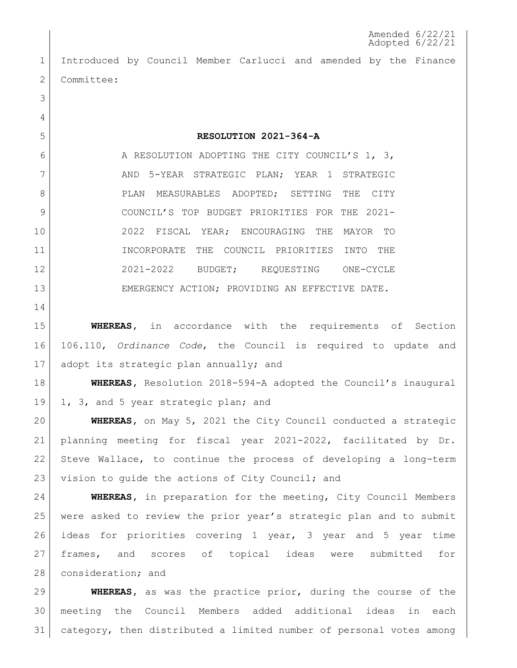Amended 6/22/21 Adopted 6/22/21

 Introduced by Council Member Carlucci and amended by the Finance 2 Committee:

**RESOLUTION 2021-364-A**

6 A RESOLUTION ADOPTING THE CITY COUNCIL'S 1, 3, 7 AND 5-YEAR STRATEGIC PLAN; YEAR 1 STRATEGIC 8 PLAN MEASURABLES ADOPTED; SETTING THE CITY COUNCIL'S TOP BUDGET PRIORITIES FOR THE 2021- 2022 FISCAL YEAR; ENCOURAGING THE MAYOR TO INCORPORATE THE COUNCIL PRIORITIES INTO THE 2021-2022 BUDGET; REQUESTING ONE-CYCLE 13 EMERGENCY ACTION; PROVIDING AN EFFECTIVE DATE.

 **WHEREAS,** in accordance with the requirements of Section 106.110, *Ordinance Code*, the Council is required to update and 17 adopt its strategic plan annually; and

 **WHEREAS,** Resolution 2018-594-A adopted the Council's inaugural 19 1, 3, and 5 year strategic plan; and

 **WHEREAS,** on May 5, 2021 the City Council conducted a strategic planning meeting for fiscal year 2021-2022, facilitated by Dr. Steve Wallace, to continue the process of developing a long-term 23 vision to quide the actions of City Council; and

 **WHEREAS,** in preparation for the meeting, City Council Members were asked to review the prior year's strategic plan and to submit ideas for priorities covering 1 year, 3 year and 5 year time frames, and scores of topical ideas were submitted for 28 | consideration; and

 **WHEREAS,** as was the practice prior, during the course of the meeting the Council Members added additional ideas in each category, then distributed a limited number of personal votes among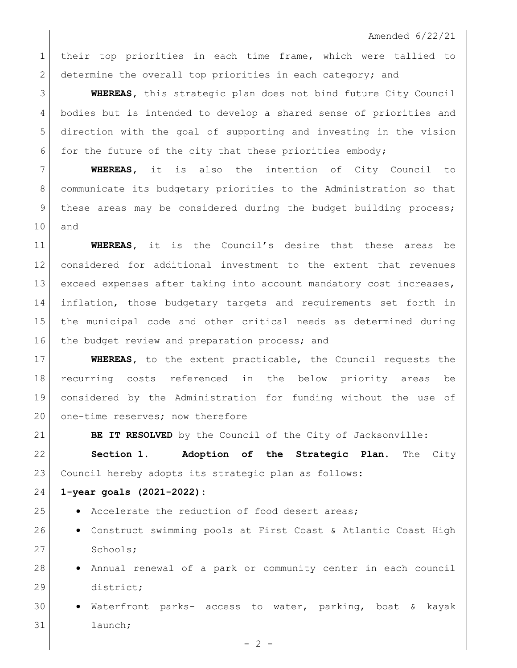Amended 6/22/21

 their top priorities in each time frame, which were tallied to 2 determine the overall top priorities in each category; and

 **WHEREAS,** this strategic plan does not bind future City Council bodies but is intended to develop a shared sense of priorities and direction with the goal of supporting and investing in the vision 6 for the future of the city that these priorities embody;

 **WHEREAS,** it is also the intention of City Council to communicate its budgetary priorities to the Administration so that 9 | these areas may be considered during the budget building process; and

 **WHEREAS,** it is the Council's desire that these areas be considered for additional investment to the extent that revenues 13 exceed expenses after taking into account mandatory cost increases, inflation, those budgetary targets and requirements set forth in the municipal code and other critical needs as determined during 16 the budget review and preparation process; and

 **WHEREAS,** to the extent practicable, the Council requests the recurring costs referenced in the below priority areas be considered by the Administration for funding without the use of 20 one-time reserves; now therefore

**BE IT RESOLVED** by the Council of the City of Jacksonville:

 **Section 1. Adoption of the Strategic Plan.** The City Council hereby adopts its strategic plan as follows:

**1-year goals (2021-2022):**

- 25 Accelerate the reduction of food desert areas;
- 26 Construct swimming pools at First Coast & Atlantic Coast High 27 Schools;
- **•** Annual renewal of a park or community center in each council district;
- $\bullet$  Waterfront parks- access to water, parking, boat & kayak launch;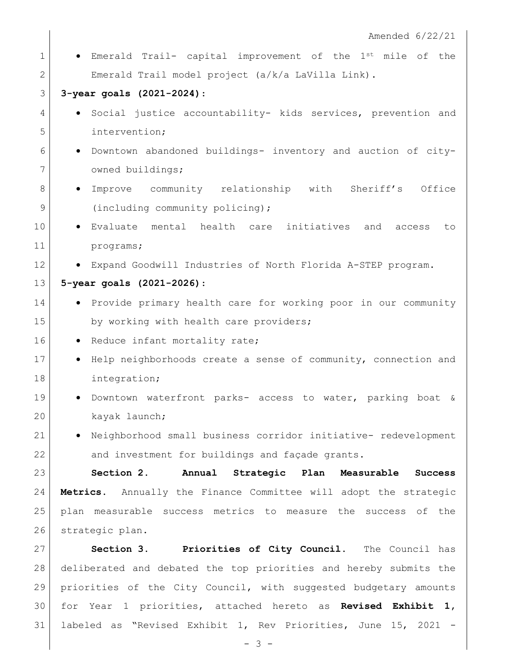1 **•** Emerald Trail- capital improvement of the 1<sup>st</sup> mile of the Emerald Trail model project (a/k/a LaVilla Link).

## **3-year goals (2021-2024)**:

- **•** Social justice accountability- kids services, prevention and intervention;
- Downtown abandoned buildings- inventory and auction of city-7 owned buildings;
- 8 | Improve community relationship with Sheriff's Office 9 (including community policing);
- **·** Evaluate mental health care initiatives and access to programs;
- **•** Expand Goodwill Industries of North Florida A-STEP program.

## **5-year goals (2021-2026)**:

- 14 Provide primary health care for working poor in our community 15 by working with health care providers;
- 16 Reduce infant mortality rate;
- **•** Help neighborhoods create a sense of community, connection and integration;
- **.** Downtown waterfront parks- access to water, parking boat & kayak launch;
- 21 Neighborhood small business corridor initiative- redevelopment 22 and investment for buildings and façade grants.

 **Section 2. Annual Strategic Plan Measurable Success Metrics**. Annually the Finance Committee will adopt the strategic plan measurable success metrics to measure the success of the 26 strategic plan.

 **Section 3. Priorities of City Council.** The Council has deliberated and debated the top priorities and hereby submits the priorities of the City Council, with suggested budgetary amounts for Year 1 priorities, attached hereto as **Revised Exhibit 1,**  labeled as "Revised Exhibit 1, Rev Priorities, June 15, 2021 -